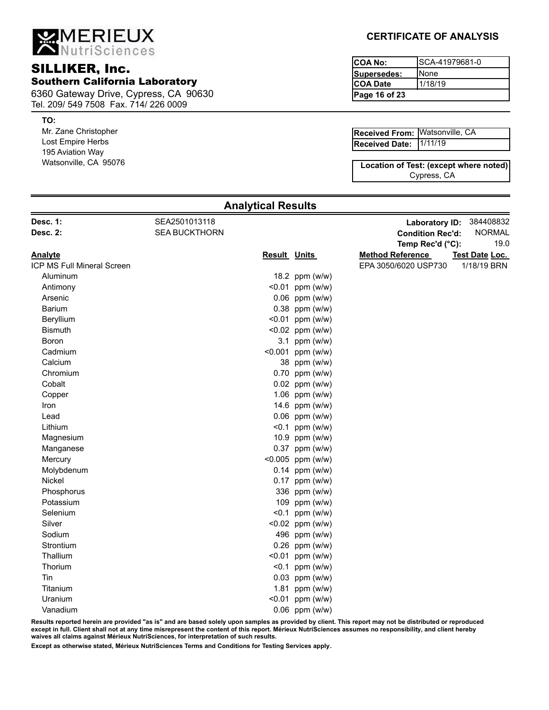MERIEUX

## SILLIKER, Inc. Southern California Laboratory

6360 Gateway Drive, Cypress, CA 90630 Tel. 209/ 549 7508 Fax. 714/ 226 0009

#### **TO:**

Mr. Zane Christopher Lost Empire Herbs 195 Aviation Way Watsonville, CA 95076

## **CERTIFICATE OF ANALYSIS**

| ICOA No:         | ISCA-41979681-0 |
|------------------|-----------------|
| Supersedes:      | <b>I</b> None   |
| <b>ICOA Date</b> | 1/18/19         |
| Page 16 of 23    |                 |

| <b>Received From: Watsonville, CA</b> |  |
|---------------------------------------|--|
| Received Date: 1/11/19                |  |

Cypress, CA **Location of Test: (except where noted)**

| Desc. 1:                   | SEA2501013118        |                     |                    | Laboratory ID:          | 384408832      |
|----------------------------|----------------------|---------------------|--------------------|-------------------------|----------------|
| <b>Desc. 2:</b>            | <b>SEA BUCKTHORN</b> |                     |                    | <b>Condition Rec'd:</b> | <b>NORMAL</b>  |
|                            |                      |                     |                    | Temp Rec'd (°C):        | 19.0           |
| Analyte                    |                      | <b>Result Units</b> |                    | <b>Method Reference</b> | Test Date Loc. |
| ICP MS Full Mineral Screen |                      |                     |                    | EPA 3050/6020 USP730    | 1/18/19 BRN    |
| Aluminum                   |                      |                     | 18.2 ppm (w/w)     |                         |                |
| Antimony                   |                      |                     | $< 0.01$ ppm (w/w) |                         |                |
| Arsenic                    |                      |                     | $0.06$ ppm (w/w)   |                         |                |
| <b>Barium</b>              |                      |                     | 0.38 ppm (w/w)     |                         |                |
| Beryllium                  |                      |                     | $< 0.01$ ppm (w/w) |                         |                |
| <b>Bismuth</b>             |                      |                     | <0.02 ppm (w/w)    |                         |                |
| Boron                      |                      |                     | 3.1 ppm $(w/w)$    |                         |                |
| Cadmium                    |                      |                     | <0.001 ppm (w/w)   |                         |                |
| Calcium                    |                      |                     | 38 ppm (w/w)       |                         |                |
| Chromium                   |                      |                     | 0.70 ppm (w/w)     |                         |                |
| Cobalt                     |                      |                     | 0.02 ppm (w/w)     |                         |                |
| Copper                     |                      |                     | 1.06 ppm (w/w)     |                         |                |
| Iron                       |                      |                     | 14.6 ppm (w/w)     |                         |                |
| Lead                       |                      |                     | $0.06$ ppm (w/w)   |                         |                |
| Lithium                    |                      |                     | $< 0.1$ ppm (w/w)  |                         |                |
| Magnesium                  |                      |                     | 10.9 ppm (w/w)     |                         |                |
| Manganese                  |                      |                     | 0.37 ppm (w/w)     |                         |                |
| Mercury                    |                      |                     | <0.005 ppm (w/w)   |                         |                |
| Molybdenum                 |                      |                     | $0.14$ ppm (w/w)   |                         |                |
| Nickel                     |                      |                     | $0.17$ ppm (w/w)   |                         |                |
| Phosphorus                 |                      |                     | 336 ppm (w/w)      |                         |                |
| Potassium                  |                      |                     | 109 ppm (w/w)      |                         |                |
| Selenium                   |                      |                     | $< 0.1$ ppm (w/w)  |                         |                |
| Silver                     |                      |                     | <0.02 ppm (w/w)    |                         |                |
| Sodium                     |                      |                     | 496 ppm (w/w)      |                         |                |
| Strontium                  |                      |                     | $0.26$ ppm (w/w)   |                         |                |
| Thallium                   |                      |                     | $< 0.01$ ppm (w/w) |                         |                |
| Thorium                    |                      |                     | $< 0.1$ ppm (w/w)  |                         |                |
| Tin                        |                      |                     | $0.03$ ppm (w/w)   |                         |                |
| Titanium                   |                      |                     | 1.81 ppm (w/w)     |                         |                |
| Uranium                    |                      |                     | $< 0.01$ ppm (w/w) |                         |                |
| Vanadium                   |                      |                     | $0.06$ ppm (w/w)   |                         |                |
|                            |                      |                     |                    |                         |                |

**Analytical Results**

**Results reported herein are provided "as is" and are based solely upon samples as provided by client. This report may not be distributed or reproduced except in full. Client shall not at any time misrepresent the content of this report. Mérieux NutriSciences assumes no responsibility, and client hereby waives all claims against Mérieux NutriSciences, for interpretation of such results.**

**Except as otherwise stated, Mérieux NutriSciences Terms and Conditions for Testing Services apply.**